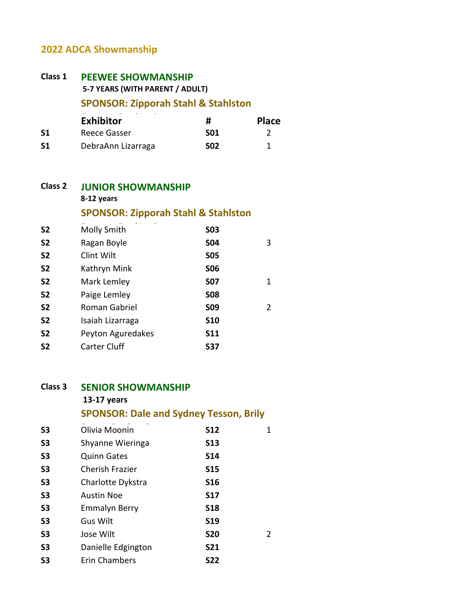# **2022 ADCA Showmanship**

## **Class 1 Exhibitor #** Place **S1** Reece Gasser **S01** 2 **S1** DebraAnn Lizarraga **S02** 1 **PEEWEE SHOWMANSHIP 5-7 YEARS (WITH PARENT / ADULT) SPONSOR: Zipporah Stahl & Stahlston**

| <b>Class 2</b> | <b>JUNIOR SHOWMANSHIP</b>                                    |  |
|----------------|--------------------------------------------------------------|--|
|                | 8-12 years<br><b>SPONSOR: Zipporah Stahl &amp; Stahlston</b> |  |
|                |                                                              |  |

| <b>S2</b> | Ragan Boyle       | <b>S04</b> | 3 |
|-----------|-------------------|------------|---|
| <b>S2</b> | Clint Wilt        | <b>S05</b> |   |
| <b>S2</b> | Kathryn Mink      | <b>SO6</b> |   |
| <b>S2</b> | Mark Lemley       | <b>S07</b> | 1 |
| <b>S2</b> | Paige Lemley      | <b>S08</b> |   |
| <b>S2</b> | Roman Gabriel     | <b>SO9</b> | 2 |
| <b>S2</b> | Isaiah Lizarraga  | <b>S10</b> |   |
| <b>S2</b> | Peyton Aguredakes | <b>S11</b> |   |
| <b>S2</b> | Carter Cluff      | <b>S37</b> |   |
|           |                   |            |   |

### **Class 3 SENIOR SHOWMANSHIP 13-17 years SPONSOR: Dale and Sydney Tesson, Brily**

| S <sub>3</sub> | Olivia Moonin          | <b>S12</b> | 1 |
|----------------|------------------------|------------|---|
|                |                        |            |   |
| S <sub>3</sub> | Shyanne Wieringa       | <b>S13</b> |   |
| S <sub>3</sub> | <b>Quinn Gates</b>     | <b>S14</b> |   |
| S <sub>3</sub> | <b>Cherish Frazier</b> | <b>S15</b> |   |
| S <sub>3</sub> | Charlotte Dykstra      | <b>S16</b> |   |
| S <sub>3</sub> | <b>Austin Noe</b>      | <b>S17</b> |   |
| S <sub>3</sub> | <b>Emmalyn Berry</b>   | <b>S18</b> |   |
| S <sub>3</sub> | Gus Wilt               | <b>S19</b> |   |
| S <sub>3</sub> | Jose Wilt              | <b>S20</b> | 2 |
| S <sub>3</sub> | Danielle Edgington     | <b>S21</b> |   |
| S <sub>3</sub> | <b>Erin Chambers</b>   | <b>S22</b> |   |